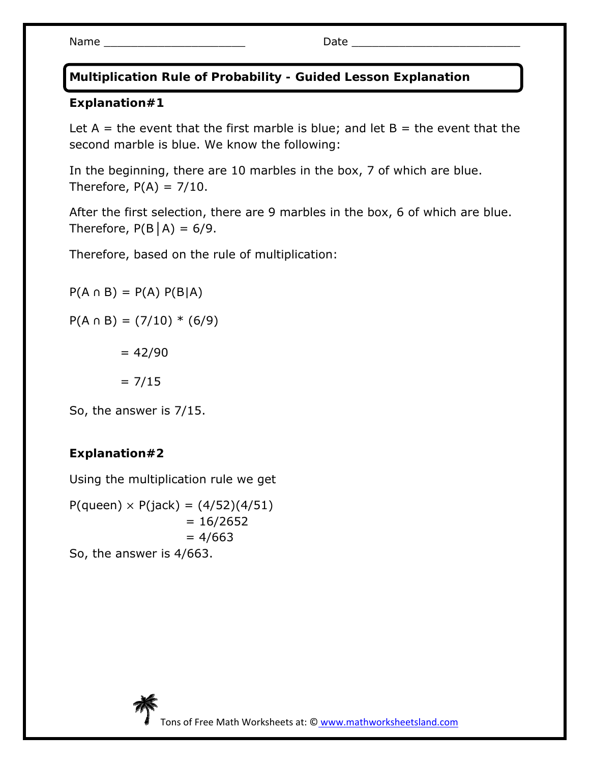Name \_\_\_\_\_\_\_\_\_\_\_\_\_\_\_\_\_\_\_\_\_ Date \_\_\_\_\_\_\_\_\_\_\_\_\_\_\_\_\_\_\_\_\_\_\_\_\_

**Multiplication Rule of Probability - Guided Lesson Explanation** 

## **Explanation#1**

Let  $A =$  the event that the first marble is blue; and let  $B =$  the event that the second marble is blue. We know the following:

In the beginning, there are 10 marbles in the box, 7 of which are blue. Therefore,  $P(A) = 7/10$ .

After the first selection, there are 9 marbles in the box, 6 of which are blue. Therefore,  $P(B|A) = 6/9$ .

Therefore, based on the rule of multiplication:

 $P(A \cap B) = P(A) P(B|A)$ 

 $P(A \cap B) = (7/10) * (6/9)$ 

 $= 42/90$ 

 $= 7/15$ 

So, the answer is 7/15.

## **Explanation#2**

Using the multiplication rule we get

 $P($ queen $) \times P(jack) = (4/52)(4/51)$  $= 16/2652$  $= 4/663$ So, the answer is 4/663.